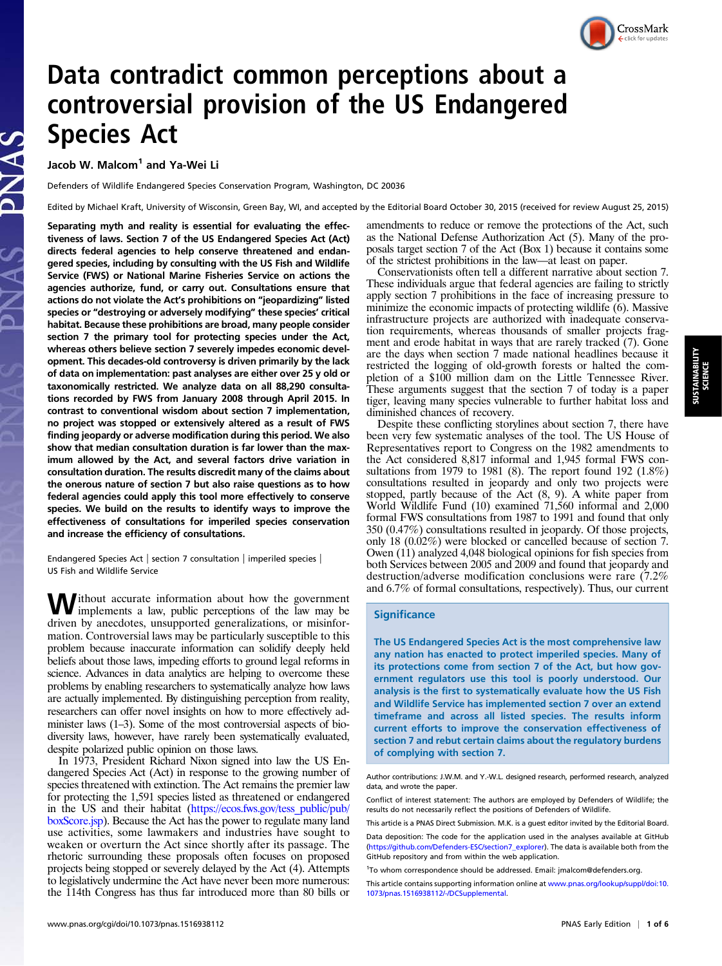# Data contradict common perceptions about a controversial provision of the US Endangered Species Act

Jacob W. Malcom<sup>1</sup> and Ya-Wei Li

Defenders of Wildlife Endangered Species Conservation Program, Washington, DC 20036

Edited by Michael Kraft, University of Wisconsin, Green Bay, WI, and accepted by the Editorial Board October 30, 2015 (received for review August 25, 2015)

Separating myth and reality is essential for evaluating the effectiveness of laws. Section 7 of the US Endangered Species Act (Act) directs federal agencies to help conserve threatened and endangered species, including by consulting with the US Fish and Wildlife Service (FWS) or National Marine Fisheries Service on actions the agencies authorize, fund, or carry out. Consultations ensure that actions do not violate the Act's prohibitions on "jeopardizing" listed species or "destroying or adversely modifying" these species' critical habitat. Because these prohibitions are broad, many people consider section 7 the primary tool for protecting species under the Act, whereas others believe section 7 severely impedes economic development. This decades-old controversy is driven primarily by the lack of data on implementation: past analyses are either over 25 y old or taxonomically restricted. We analyze data on all 88,290 consultations recorded by FWS from January 2008 through April 2015. In contrast to conventional wisdom about section 7 implementation, no project was stopped or extensively altered as a result of FWS finding jeopardy or adverse modification during this period. We also show that median consultation duration is far lower than the maximum allowed by the Act, and several factors drive variation in consultation duration. The results discredit many of the claims about the onerous nature of section 7 but also raise questions as to how federal agencies could apply this tool more effectively to conserve species. We build on the results to identify ways to improve the effectiveness of consultations for imperiled species conservation and increase the efficiency of consultations.

Endangered Species Act | section 7 consultation | imperiled species | US Fish and Wildlife Service

Without accurate information about how the government implements a law, public perceptions of the law may be driven by anecdotes, unsupported generalizations, or misinformation. Controversial laws may be particularly susceptible to this problem because inaccurate information can solidify deeply held beliefs about those laws, impeding efforts to ground legal reforms in science. Advances in data analytics are helping to overcome these problems by enabling researchers to systematically analyze how laws are actually implemented. By distinguishing perception from reality, researchers can offer novel insights on how to more effectively administer laws (1–3). Some of the most controversial aspects of biodiversity laws, however, have rarely been systematically evaluated, despite polarized public opinion on those laws.

In 1973, President Richard Nixon signed into law the US Endangered Species Act (Act) in response to the growing number of species threatened with extinction. The Act remains the premier law for protecting the 1,591 species listed as threatened or endangered in the US and their habitat ([https://ecos.fws.gov/tess\\_public/pub/](https://ecos.fws.gov/tess_public/pub/boxScore.jsp) [boxScore.jsp\)](https://ecos.fws.gov/tess_public/pub/boxScore.jsp). Because the Act has the power to regulate many land use activities, some lawmakers and industries have sought to weaken or overturn the Act since shortly after its passage. The rhetoric surrounding these proposals often focuses on proposed projects being stopped or severely delayed by the Act (4). Attempts to legislatively undermine the Act have never been more numerous: the 114th Congress has thus far introduced more than 80 bills or amendments to reduce or remove the protections of the Act, such as the National Defense Authorization Act (5). Many of the proposals target section 7 of the Act (Box 1) because it contains some of the strictest prohibitions in the law—at least on paper.

Conservationists often tell a different narrative about section 7. These individuals argue that federal agencies are failing to strictly apply section 7 prohibitions in the face of increasing pressure to minimize the economic impacts of protecting wildlife (6). Massive infrastructure projects are authorized with inadequate conservation requirements, whereas thousands of smaller projects fragment and erode habitat in ways that are rarely tracked (7). Gone are the days when section 7 made national headlines because it restricted the logging of old-growth forests or halted the completion of a \$100 million dam on the Little Tennessee River. These arguments suggest that the section 7 of today is a paper tiger, leaving many species vulnerable to further habitat loss and diminished chances of recovery.

Despite these conflicting storylines about section 7, there have been very few systematic analyses of the tool. The US House of Representatives report to Congress on the 1982 amendments to the Act considered 8,817 informal and 1,945 formal FWS consultations from 1979 to 1981 (8). The report found 192 (1.8%) consultations resulted in jeopardy and only two projects were stopped, partly because of the Act (8, 9). A white paper from World Wildlife Fund (10) examined 71,560 informal and 2,000 formal FWS consultations from 1987 to 1991 and found that only 350 (0.47%) consultations resulted in jeopardy. Of those projects, only 18 (0.02%) were blocked or cancelled because of section 7. Owen (11) analyzed 4,048 biological opinions for fish species from both Services between 2005 and 2009 and found that jeopardy and destruction/adverse modification conclusions were rare (7.2% and 6.7% of formal consultations, respectively). Thus, our current

#### **Significance**

The US Endangered Species Act is the most comprehensive law any nation has enacted to protect imperiled species. Many of its protections come from section 7 of the Act, but how government regulators use this tool is poorly understood. Our analysis is the first to systematically evaluate how the US Fish and Wildlife Service has implemented section 7 over an extend timeframe and across all listed species. The results inform current efforts to improve the conservation effectiveness of section 7 and rebut certain claims about the regulatory burdens of complying with section 7.

Author contributions: J.W.M. and Y.-W.L. designed research, performed research, analyzed data, and wrote the paper.

Conflict of interest statement: The authors are employed by Defenders of Wildlife; the results do not necessarily reflect the positions of Defenders of Wildlife.

This article is a PNAS Direct Submission. M.K. is a guest editor invited by the Editorial Board. Data deposition: The code for the application used in the analyses available at GitHub ([https://github.com/Defenders-ESC/section7\\_explorer](https://github.com/Defenders-ESC/section7_explorer)). The data is available both from the GitHub repository and from within the web application.

<sup>1</sup>To whom correspondence should be addressed. Email: [jmalcom@defenders.org](mailto:jmalcom@defenders.org).

This article contains supporting information online at [www.pnas.org/lookup/suppl/doi:10.](http://www.pnas.org/lookup/suppl/doi:10.1073/pnas.1516938112/-/DCSupplemental) [1073/pnas.1516938112/-/DCSupplemental](http://www.pnas.org/lookup/suppl/doi:10.1073/pnas.1516938112/-/DCSupplemental).

CrossMark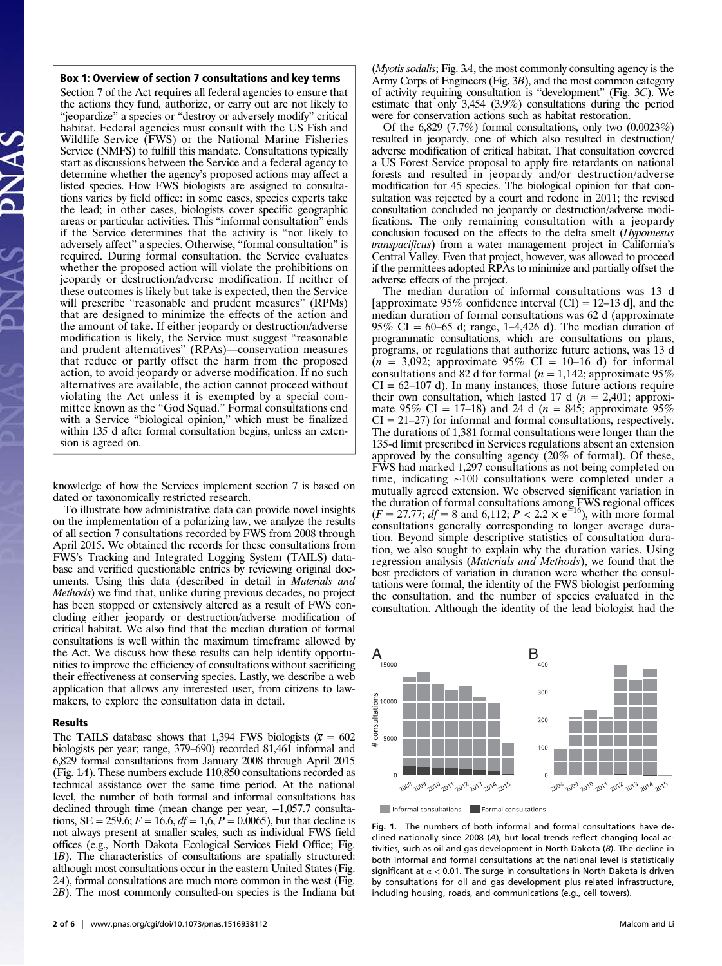#### Box 1: Overview of section 7 consultations and key terms

Section 7 of the Act requires all federal agencies to ensure that the actions they fund, authorize, or carry out are not likely to "jeopardize" a species or "destroy or adversely modify" critical habitat. Federal agencies must consult with the US Fish and Wildlife Service (FWS) or the National Marine Fisheries Service (NMFS) to fulfill this mandate. Consultations typically start as discussions between the Service and a federal agency to determine whether the agency's proposed actions may affect a listed species. How FWS biologists are assigned to consultations varies by field office: in some cases, species experts take the lead; in other cases, biologists cover specific geographic areas or particular activities. This "informal consultation" ends if the Service determines that the activity is "not likely to adversely affect" a species. Otherwise, "formal consultation" is required. During formal consultation, the Service evaluates whether the proposed action will violate the prohibitions on jeopardy or destruction/adverse modification. If neither of these outcomes is likely but take is expected, then the Service will prescribe "reasonable and prudent measures" (RPMs) that are designed to minimize the effects of the action and the amount of take. If either jeopardy or destruction/adverse modification is likely, the Service must suggest "reasonable and prudent alternatives" (RPAs)—conservation measures that reduce or partly offset the harm from the proposed action, to avoid jeopardy or adverse modification. If no such alternatives are available, the action cannot proceed without violating the Act unless it is exempted by a special committee known as the "God Squad." Formal consultations end with a Service "biological opinion," which must be finalized within 135 d after formal consultation begins, unless an extension is agreed on.

knowledge of how the Services implement section 7 is based on dated or taxonomically restricted research.

To illustrate how administrative data can provide novel insights on the implementation of a polarizing law, we analyze the results of all section 7 consultations recorded by FWS from 2008 through April 2015. We obtained the records for these consultations from FWS's Tracking and Integrated Logging System (TAILS) database and verified questionable entries by reviewing original documents. Using this data (described in detail in Materials and Methods) we find that, unlike during previous decades, no project has been stopped or extensively altered as a result of FWS concluding either jeopardy or destruction/adverse modification of critical habitat. We also find that the median duration of formal consultations is well within the maximum timeframe allowed by the Act. We discuss how these results can help identify opportunities to improve the efficiency of consultations without sacrificing their effectiveness at conserving species. Lastly, we describe a web application that allows any interested user, from citizens to lawmakers, to explore the consultation data in detail.

## Results

The TAILS database shows that 1,394 FWS biologists ( $\bar{x} = 602$ ) biologists per year; range, 379–690) recorded 81,461 informal and 6,829 formal consultations from January 2008 through April 2015 (Fig. 1A). These numbers exclude 110,850 consultations recorded as technical assistance over the same time period. At the national level, the number of both formal and informal consultations has declined through time (mean change per year, −1,057.7 consultations,  $SE = 259.6$ ;  $F = 16.6$ ,  $df = 1.6$ ,  $P = 0.0065$ ), but that decline is not always present at smaller scales, such as individual FWS field offices (e.g., North Dakota Ecological Services Field Office; Fig. 1B). The characteristics of consultations are spatially structured: although most consultations occur in the eastern United States (Fig. 2A), formal consultations are much more common in the west (Fig. 2B). The most commonly consulted-on species is the Indiana bat

(Myotis sodalis; Fig. 3A, the most commonly consulting agency is the Army Corps of Engineers (Fig. 3B), and the most common category of activity requiring consultation is "development" (Fig. 3C). We estimate that only 3,454 (3.9%) consultations during the period were for conservation actions such as habitat restoration.

Of the  $6,829$  (7.7%) formal consultations, only two  $(0.0023\%)$ resulted in jeopardy, one of which also resulted in destruction/ adverse modification of critical habitat. That consultation covered a US Forest Service proposal to apply fire retardants on national forests and resulted in jeopardy and/or destruction/adverse modification for 45 species. The biological opinion for that consultation was rejected by a court and redone in 2011; the revised consultation concluded no jeopardy or destruction/adverse modifications. The only remaining consultation with a jeopardy conclusion focused on the effects to the delta smelt (Hypomesus transpacificus) from a water management project in California's Central Valley. Even that project, however, was allowed to proceed if the permittees adopted RPAs to minimize and partially offset the adverse effects of the project.

The median duration of informal consultations was 13 d [approximate 95% confidence interval  $(CI) = 12-13$  d], and the median duration of formal consultations was 62 d (approximate 95% CI =  $60-65$  d; range, 1-4,426 d). The median duration of programmatic consultations, which are consultations on plans, programs, or regulations that authorize future actions, was 13 d  $(n = 3,092;$  approximate 95% CI = 10–16 d) for informal consultations and 82 d for formal ( $n = 1,142$ ; approximate 95%)  $CI = 62-107$  d). In many instances, those future actions require their own consultation, which lasted 17 d ( $n = 2,401$ ; approximate 95% CI = 17-18) and 24 d ( $n = 845$ ; approximate 95%  $CI = 21-27$ ) for informal and formal consultations, respectively. The durations of 1,381 formal consultations were longer than the 135-d limit prescribed in Services regulations absent an extension approved by the consulting agency (20% of formal). Of these, FWS had marked 1,297 consultations as not being completed on time, indicating ∼100 consultations were completed under a mutually agreed extension. We observed significant variation in the duration of formal consultations among FWS regional offices  $(F = 27.77; df = 8$  and  $6,112; P < 2.2 \times e^{-16}$ ), with more formal consultations generally corresponding to longer average duration. Beyond simple descriptive statistics of consultation duration, we also sought to explain why the duration varies. Using regression analysis (Materials and Methods), we found that the best predictors of variation in duration were whether the consultations were formal, the identity of the FWS biologist performing the consultation, and the number of species evaluated in the consultation. Although the identity of the lead biologist had the



Fig. 1. The numbers of both informal and formal consultations have declined nationally since 2008 (A), but local trends reflect changing local activities, such as oil and gas development in North Dakota (B). The decline in both informal and formal consultations at the national level is statistically significant at  $\alpha$  < 0.01. The surge in consultations in North Dakota is driven by consultations for oil and gas development plus related infrastructure, including housing, roads, and communications (e.g., cell towers).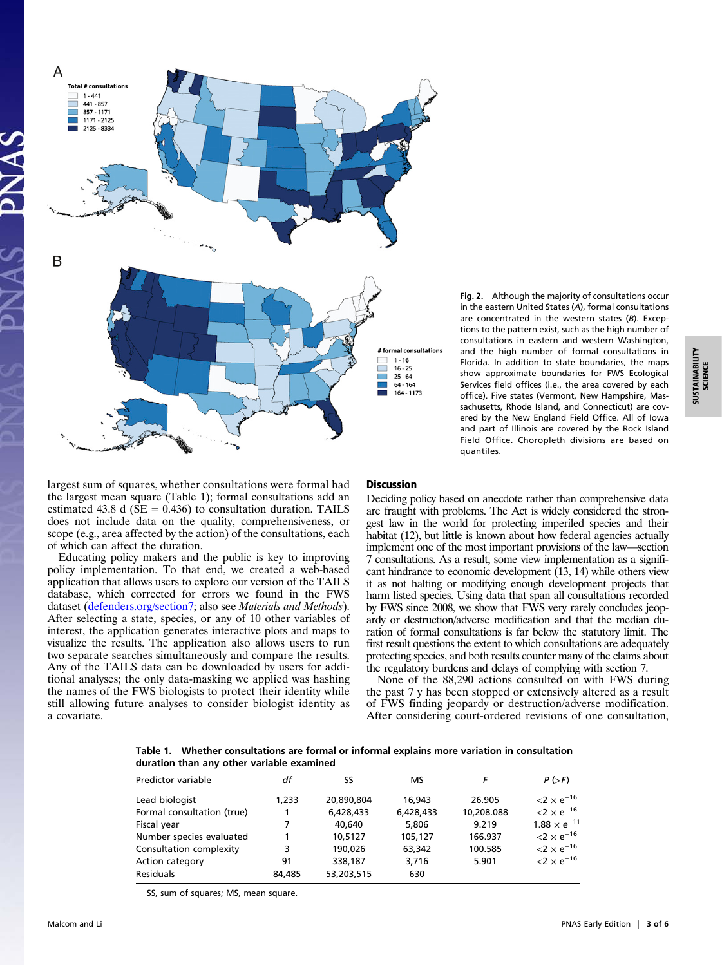

Fig. 2. Although the majority of consultations occur in the eastern United States (A), formal consultations are concentrated in the western states  $(B)$ . Exceptions to the pattern exist, such as the high number of consultations in eastern and western Washington, and the high number of formal consultations in Florida. In addition to state boundaries, the maps show approximate boundaries for FWS Ecological Services field offices (i.e., the area covered by each office). Five states (Vermont, New Hampshire, Massachusetts, Rhode Island, and Connecticut) are covered by the New England Field Office. All of Iowa and part of Illinois are covered by the Rock Island Field Office. Choropleth divisions are based on quantiles.

largest sum of squares, whether consultations were formal had the largest mean square (Table 1); formal consultations add an estimated 43.8 d ( $SE = 0.436$ ) to consultation duration. TAILS does not include data on the quality, comprehensiveness, or scope (e.g., area affected by the action) of the consultations, each of which can affect the duration.

Educating policy makers and the public is key to improving policy implementation. To that end, we created a web-based application that allows users to explore our version of the TAILS database, which corrected for errors we found in the FWS dataset [\(defenders.org/section7;](http://defenders.org/section7) also see Materials and Methods). After selecting a state, species, or any of 10 other variables of interest, the application generates interactive plots and maps to visualize the results. The application also allows users to run two separate searches simultaneously and compare the results. Any of the TAILS data can be downloaded by users for additional analyses; the only data-masking we applied was hashing the names of the FWS biologists to protect their identity while still allowing future analyses to consider biologist identity as a covariate.

# Discussion

Deciding policy based on anecdote rather than comprehensive data are fraught with problems. The Act is widely considered the strongest law in the world for protecting imperiled species and their habitat (12), but little is known about how federal agencies actually implement one of the most important provisions of the law—section 7 consultations. As a result, some view implementation as a significant hindrance to economic development (13, 14) while others view it as not halting or modifying enough development projects that harm listed species. Using data that span all consultations recorded by FWS since 2008, we show that FWS very rarely concludes jeopardy or destruction/adverse modification and that the median duration of formal consultations is far below the statutory limit. The first result questions the extent to which consultations are adequately protecting species, and both results counter many of the claims about the regulatory burdens and delays of complying with section 7.

None of the 88,290 actions consulted on with FWS during the past 7 y has been stopped or extensively altered as a result of FWS finding jeopardy or destruction/adverse modification. After considering court-ordered revisions of one consultation,

Table 1. Whether consultations are formal or informal explains more variation in consultation duration than any other variable examined

| Predictor variable         | df     | SS         | МS        |            | $P(>=F)$                        |
|----------------------------|--------|------------|-----------|------------|---------------------------------|
| Lead biologist             | 1,233  | 20,890,804 | 16,943    | 26.905     | $<$ 2 $\times$ e <sup>-16</sup> |
| Formal consultation (true) |        | 6,428,433  | 6,428,433 | 10,208.088 | $<$ 2 $\times$ e <sup>-16</sup> |
| Fiscal year                |        | 40.640     | 5.806     | 9.219      | $1.88 \times e^{-11}$           |
| Number species evaluated   |        | 10,5127    | 105,127   | 166.937    | $<$ 2 $\times$ e <sup>-16</sup> |
| Consultation complexity    | 3      | 190.026    | 63,342    | 100.585    | $<$ 2 $\times$ e <sup>-16</sup> |
| Action category            | 91     | 338.187    | 3.716     | 5.901      | $<$ 2 $\times$ e <sup>-16</sup> |
| Residuals                  | 84,485 | 53,203,515 | 630       |            |                                 |

SS, sum of squares; MS, mean square.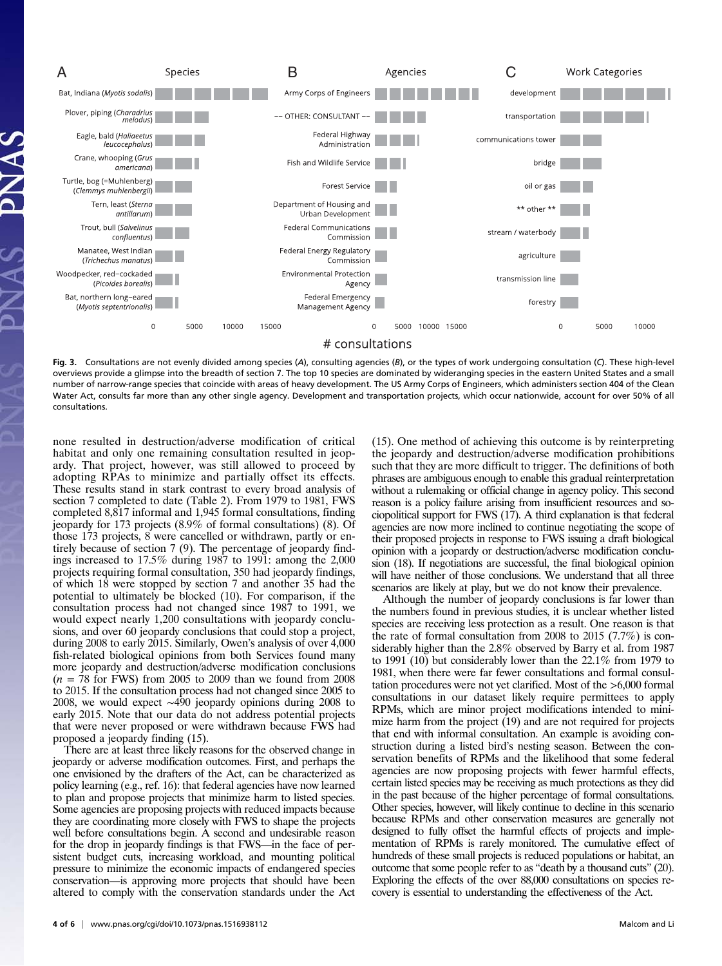

Fig. 3. Consultations are not evenly divided among species (A), consulting agencies (B), or the types of work undergoing consultation (C). These high-level overviews provide a glimpse into the breadth of section 7. The top 10 species are dominated by wideranging species in the eastern United States and a small number of narrow-range species that coincide with areas of heavy development. The US Army Corps of Engineers, which administers section 404 of the Clean Water Act, consults far more than any other single agency. Development and transportation projects, which occur nationwide, account for over 50% of all consultations.

none resulted in destruction/adverse modification of critical habitat and only one remaining consultation resulted in jeopardy. That project, however, was still allowed to proceed by adopting RPAs to minimize and partially offset its effects. These results stand in stark contrast to every broad analysis of section 7 completed to date (Table 2). From 1979 to 1981, FWS completed 8,817 informal and 1,945 formal consultations, finding jeopardy for 173 projects (8.9% of formal consultations) (8). Of those 173 projects, 8 were cancelled or withdrawn, partly or entirely because of section 7 (9). The percentage of jeopardy findings increased to 17.5% during 1987 to 1991: among the 2,000 projects requiring formal consultation, 350 had jeopardy findings, of which 18 were stopped by section 7 and another 35 had the potential to ultimately be blocked (10). For comparison, if the consultation process had not changed since 1987 to 1991, we would expect nearly 1,200 consultations with jeopardy conclusions, and over 60 jeopardy conclusions that could stop a project, during 2008 to early 2015. Similarly, Owen's analysis of over 4,000 fish-related biological opinions from both Services found many more jeopardy and destruction/adverse modification conclusions  $(n = 78$  for FWS) from 2005 to 2009 than we found from 2008 to 2015. If the consultation process had not changed since 2005 to 2008, we would expect ∼490 jeopardy opinions during 2008 to early 2015. Note that our data do not address potential projects that were never proposed or were withdrawn because FWS had proposed a jeopardy finding (15).

There are at least three likely reasons for the observed change in jeopardy or adverse modification outcomes. First, and perhaps the one envisioned by the drafters of the Act, can be characterized as policy learning (e.g., ref. 16): that federal agencies have now learned to plan and propose projects that minimize harm to listed species. Some agencies are proposing projects with reduced impacts because they are coordinating more closely with FWS to shape the projects well before consultations begin. A second and undesirable reason for the drop in jeopardy findings is that FWS—in the face of persistent budget cuts, increasing workload, and mounting political pressure to minimize the economic impacts of endangered species conservation—is approving more projects that should have been altered to comply with the conservation standards under the Act (15). One method of achieving this outcome is by reinterpreting the jeopardy and destruction/adverse modification prohibitions such that they are more difficult to trigger. The definitions of both phrases are ambiguous enough to enable this gradual reinterpretation without a rulemaking or official change in agency policy. This second reason is a policy failure arising from insufficient resources and sociopolitical support for FWS (17). A third explanation is that federal agencies are now more inclined to continue negotiating the scope of their proposed projects in response to FWS issuing a draft biological opinion with a jeopardy or destruction/adverse modification conclusion (18). If negotiations are successful, the final biological opinion will have neither of those conclusions. We understand that all three scenarios are likely at play, but we do not know their prevalence.

Although the number of jeopardy conclusions is far lower than the numbers found in previous studies, it is unclear whether listed species are receiving less protection as a result. One reason is that the rate of formal consultation from 2008 to 2015 (7.7%) is considerably higher than the 2.8% observed by Barry et al. from 1987 to 1991 (10) but considerably lower than the 22.1% from 1979 to 1981, when there were far fewer consultations and formal consultation procedures were not yet clarified. Most of the >6,000 formal consultations in our dataset likely require permittees to apply RPMs, which are minor project modifications intended to minimize harm from the project (19) and are not required for projects that end with informal consultation. An example is avoiding construction during a listed bird's nesting season. Between the conservation benefits of RPMs and the likelihood that some federal agencies are now proposing projects with fewer harmful effects, certain listed species may be receiving as much protections as they did in the past because of the higher percentage of formal consultations. Other species, however, will likely continue to decline in this scenario because RPMs and other conservation measures are generally not designed to fully offset the harmful effects of projects and implementation of RPMs is rarely monitored. The cumulative effect of hundreds of these small projects is reduced populations or habitat, an outcome that some people refer to as "death by a thousand cuts" (20). Exploring the effects of the over 88,000 consultations on species recovery is essential to understanding the effectiveness of the Act.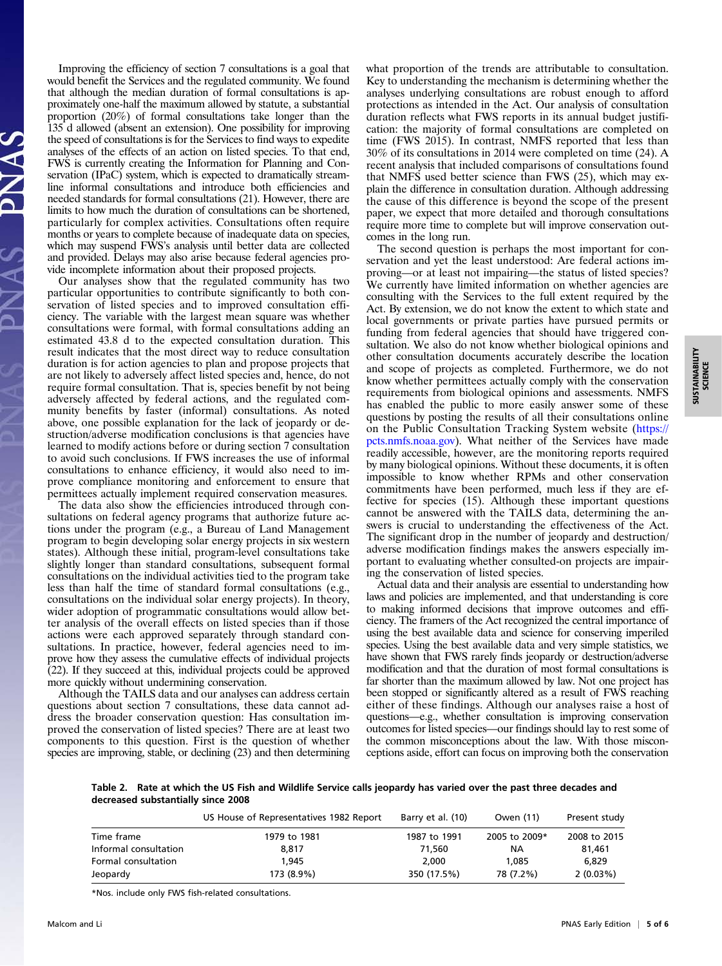Improving the efficiency of section 7 consultations is a goal that would benefit the Services and the regulated community. We found that although the median duration of formal consultations is approximately one-half the maximum allowed by statute, a substantial proportion (20%) of formal consultations take longer than the 135 d allowed (absent an extension). One possibility for improving the speed of consultations is for the Services to find ways to expedite analyses of the effects of an action on listed species. To that end, FWS is currently creating the Information for Planning and Conservation (IPaC) system, which is expected to dramatically streamline informal consultations and introduce both efficiencies and needed standards for formal consultations (21). However, there are limits to how much the duration of consultations can be shortened, particularly for complex activities. Consultations often require months or years to complete because of inadequate data on species, which may suspend FWS's analysis until better data are collected and provided. Delays may also arise because federal agencies provide incomplete information about their proposed projects.

Our analyses show that the regulated community has two particular opportunities to contribute significantly to both conservation of listed species and to improved consultation efficiency. The variable with the largest mean square was whether consultations were formal, with formal consultations adding an estimated 43.8 d to the expected consultation duration. This result indicates that the most direct way to reduce consultation duration is for action agencies to plan and propose projects that are not likely to adversely affect listed species and, hence, do not require formal consultation. That is, species benefit by not being adversely affected by federal actions, and the regulated community benefits by faster (informal) consultations. As noted above, one possible explanation for the lack of jeopardy or destruction/adverse modification conclusions is that agencies have learned to modify actions before or during section 7 consultation to avoid such conclusions. If FWS increases the use of informal consultations to enhance efficiency, it would also need to improve compliance monitoring and enforcement to ensure that permittees actually implement required conservation measures.

The data also show the efficiencies introduced through consultations on federal agency programs that authorize future actions under the program (e.g., a Bureau of Land Management program to begin developing solar energy projects in six western states). Although these initial, program-level consultations take slightly longer than standard consultations, subsequent formal consultations on the individual activities tied to the program take less than half the time of standard formal consultations (e.g., consultations on the individual solar energy projects). In theory, wider adoption of programmatic consultations would allow better analysis of the overall effects on listed species than if those actions were each approved separately through standard consultations. In practice, however, federal agencies need to improve how they assess the cumulative effects of individual projects (22). If they succeed at this, individual projects could be approved more quickly without undermining conservation.

Although the TAILS data and our analyses can address certain questions about section 7 consultations, these data cannot address the broader conservation question: Has consultation improved the conservation of listed species? There are at least two components to this question. First is the question of whether species are improving, stable, or declining (23) and then determining

what proportion of the trends are attributable to consultation. Key to understanding the mechanism is determining whether the analyses underlying consultations are robust enough to afford protections as intended in the Act. Our analysis of consultation duration reflects what FWS reports in its annual budget justification: the majority of formal consultations are completed on time (FWS 2015). In contrast, NMFS reported that less than 30% of its consultations in 2014 were completed on time (24). A recent analysis that included comparisons of consultations found that NMFS used better science than FWS (25), which may explain the difference in consultation duration. Although addressing the cause of this difference is beyond the scope of the present paper, we expect that more detailed and thorough consultations require more time to complete but will improve conservation outcomes in the long run.

The second question is perhaps the most important for conservation and yet the least understood: Are federal actions improving—or at least not impairing—the status of listed species? We currently have limited information on whether agencies are consulting with the Services to the full extent required by the Act. By extension, we do not know the extent to which state and local governments or private parties have pursued permits or funding from federal agencies that should have triggered consultation. We also do not know whether biological opinions and other consultation documents accurately describe the location and scope of projects as completed. Furthermore, we do not know whether permittees actually comply with the conservation requirements from biological opinions and assessments. NMFS has enabled the public to more easily answer some of these questions by posting the results of all their consultations online on the Public Consultation Tracking System website ([https://](https://pcts.nmfs.noaa.gov) [pcts.nmfs.noaa.gov\)](https://pcts.nmfs.noaa.gov). What neither of the Services have made readily accessible, however, are the monitoring reports required by many biological opinions. Without these documents, it is often impossible to know whether RPMs and other conservation commitments have been performed, much less if they are effective for species (15). Although these important questions cannot be answered with the TAILS data, determining the answers is crucial to understanding the effectiveness of the Act. The significant drop in the number of jeopardy and destruction/ adverse modification findings makes the answers especially important to evaluating whether consulted-on projects are impairing the conservation of listed species.

Actual data and their analysis are essential to understanding how laws and policies are implemented, and that understanding is core to making informed decisions that improve outcomes and efficiency. The framers of the Act recognized the central importance of using the best available data and science for conserving imperiled species. Using the best available data and very simple statistics, we have shown that FWS rarely finds jeopardy or destruction/adverse modification and that the duration of most formal consultations is far shorter than the maximum allowed by law. Not one project has been stopped or significantly altered as a result of FWS reaching either of these findings. Although our analyses raise a host of questions—e.g., whether consultation is improving conservation outcomes for listed species—our findings should lay to rest some of the common misconceptions about the law. With those misconceptions aside, effort can focus on improving both the conservation

Table 2. Rate at which the US Fish and Wildlife Service calls jeopardy has varied over the past three decades and decreased substantially since 2008

|                       | US House of Representatives 1982 Report | Barry et al. (10) | Owen (11)     | Present study |
|-----------------------|-----------------------------------------|-------------------|---------------|---------------|
| Time frame            | 1979 to 1981                            | 1987 to 1991      | 2005 to 2009* | 2008 to 2015  |
| Informal consultation | 8.817                                   | 71.560            | ΝA            | 81.461        |
| Formal consultation   | 1.945                                   | 2,000             | 1.085         | 6.829         |
| Jeopardy              | 173 (8.9%)                              | 350 (17.5%)       | 78 (7.2%)     | 2(0.03%)      |

\*Nos. include only FWS fish-related consultations.